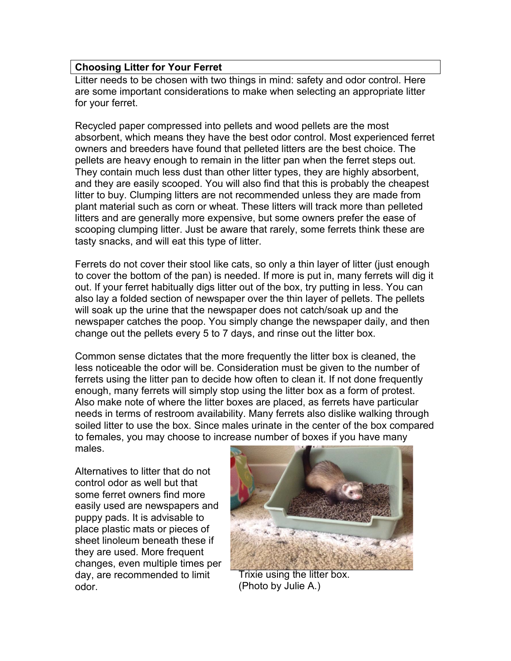## **Choosing Litter for Your Ferret**

Litter needs to be chosen with two things in mind: safety and odor control. Here are some important considerations to make when selecting an appropriate litter for your ferret.

Recycled paper compressed into pellets and wood pellets are the most absorbent, which means they have the best odor control. Most experienced ferret owners and breeders have found that pelleted litters are the best choice. The pellets are heavy enough to remain in the litter pan when the ferret steps out. They contain much less dust than other litter types, they are highly absorbent, and they are easily scooped. You will also find that this is probably the cheapest litter to buy. Clumping litters are not recommended unless they are made from plant material such as corn or wheat. These litters will track more than pelleted litters and are generally more expensive, but some owners prefer the ease of scooping clumping litter. Just be aware that rarely, some ferrets think these are tasty snacks, and will eat this type of litter.

Ferrets do not cover their stool like cats, so only a thin layer of litter (just enough to cover the bottom of the pan) is needed. If more is put in, many ferrets will dig it out. If your ferret habitually digs litter out of the box, try putting in less. You can also lay a folded section of newspaper over the thin layer of pellets. The pellets will soak up the urine that the newspaper does not catch/soak up and the newspaper catches the poop. You simply change the newspaper daily, and then change out the pellets every 5 to 7 days, and rinse out the litter box.

Common sense dictates that the more frequently the litter box is cleaned, the less noticeable the odor will be. Consideration must be given to the number of ferrets using the litter pan to decide how often to clean it. If not done frequently enough, many ferrets will simply stop using the litter box as a form of protest. Also make note of where the litter boxes are placed, as ferrets have particular needs in terms of restroom availability. Many ferrets also dislike walking through soiled litter to use the box. Since males urinate in the center of the box compared to females, you may choose to increase number of boxes if you have many males.

Alternatives to litter that do not control odor as well but that some ferret owners find more easily used are newspapers and puppy pads. It is advisable to place plastic mats or pieces of sheet linoleum beneath these if they are used. More frequent changes, even multiple times per day, are recommended to limit odor.



Trixie using the litter box. (Photo by Julie A.)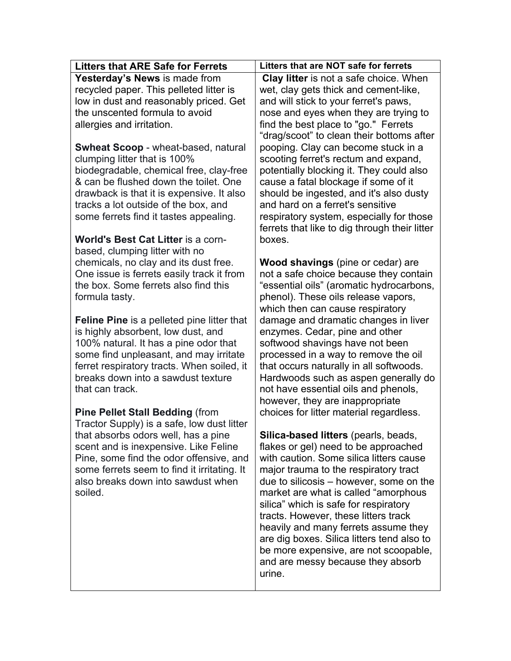| <b>Litters that ARE Safe for Ferrets</b>                                                | Litters that are NOT safe for ferrets                                  |
|-----------------------------------------------------------------------------------------|------------------------------------------------------------------------|
| Yesterday's News is made from                                                           | <b>Clay litter</b> is not a safe choice. When                          |
| recycled paper. This pelleted litter is                                                 | wet, clay gets thick and cement-like,                                  |
| low in dust and reasonably priced. Get                                                  | and will stick to your ferret's paws,                                  |
| the unscented formula to avoid                                                          | nose and eyes when they are trying to                                  |
| allergies and irritation.                                                               | find the best place to "go." Ferrets                                   |
|                                                                                         | "drag/scoot" to clean their bottoms after                              |
| <b>Swheat Scoop</b> - wheat-based, natural                                              | pooping. Clay can become stuck in a                                    |
| clumping litter that is 100%                                                            | scooting ferret's rectum and expand,                                   |
| biodegradable, chemical free, clay-free                                                 | potentially blocking it. They could also                               |
| & can be flushed down the toilet. One                                                   | cause a fatal blockage if some of it                                   |
| drawback is that it is expensive. It also                                               | should be ingested, and it's also dusty                                |
| tracks a lot outside of the box, and                                                    | and hard on a ferret's sensitive                                       |
| some ferrets find it tastes appealing.                                                  | respiratory system, especially for those                               |
|                                                                                         | ferrets that like to dig through their litter                          |
| <b>World's Best Cat Litter is a corn-</b>                                               | boxes.                                                                 |
| based, clumping litter with no                                                          |                                                                        |
| chemicals, no clay and its dust free.                                                   | <b>Wood shavings</b> (pine or cedar) are                               |
| One issue is ferrets easily track it from                                               | not a safe choice because they contain                                 |
| the box. Some ferrets also find this                                                    | "essential oils" (aromatic hydrocarbons,                               |
| formula tasty.                                                                          | phenol). These oils release vapors,                                    |
|                                                                                         | which then can cause respiratory                                       |
| <b>Feline Pine</b> is a pelleted pine litter that<br>is highly absorbent, low dust, and | damage and dramatic changes in liver<br>enzymes. Cedar, pine and other |
| 100% natural. It has a pine odor that                                                   | softwood shavings have not been                                        |
| some find unpleasant, and may irritate                                                  | processed in a way to remove the oil                                   |
| ferret respiratory tracts. When soiled, it                                              | that occurs naturally in all softwoods.                                |
| breaks down into a sawdust texture                                                      | Hardwoods such as aspen generally do                                   |
| that can track.                                                                         | not have essential oils and phenols,                                   |
|                                                                                         | however, they are inappropriate                                        |
| <b>Pine Pellet Stall Bedding (from</b>                                                  | choices for litter material regardless.                                |
| Tractor Supply) is a safe, low dust litter                                              |                                                                        |
| that absorbs odors well, has a pine                                                     | Silica-based litters (pearls, beads,                                   |
| scent and is inexpensive. Like Feline                                                   | flakes or gel) need to be approached                                   |
| Pine, some find the odor offensive, and                                                 | with caution. Some silica litters cause                                |
| some ferrets seem to find it irritating. It                                             | major trauma to the respiratory tract                                  |
| also breaks down into sawdust when                                                      | due to silicosis – however, some on the                                |
| soiled.                                                                                 | market are what is called "amorphous                                   |
|                                                                                         | silica" which is safe for respiratory                                  |
|                                                                                         | tracts. However, these litters track                                   |
|                                                                                         | heavily and many ferrets assume they                                   |
|                                                                                         | are dig boxes. Silica litters tend also to                             |
|                                                                                         | be more expensive, are not scoopable,                                  |
|                                                                                         | and are messy because they absorb                                      |
|                                                                                         | urine.                                                                 |
|                                                                                         |                                                                        |